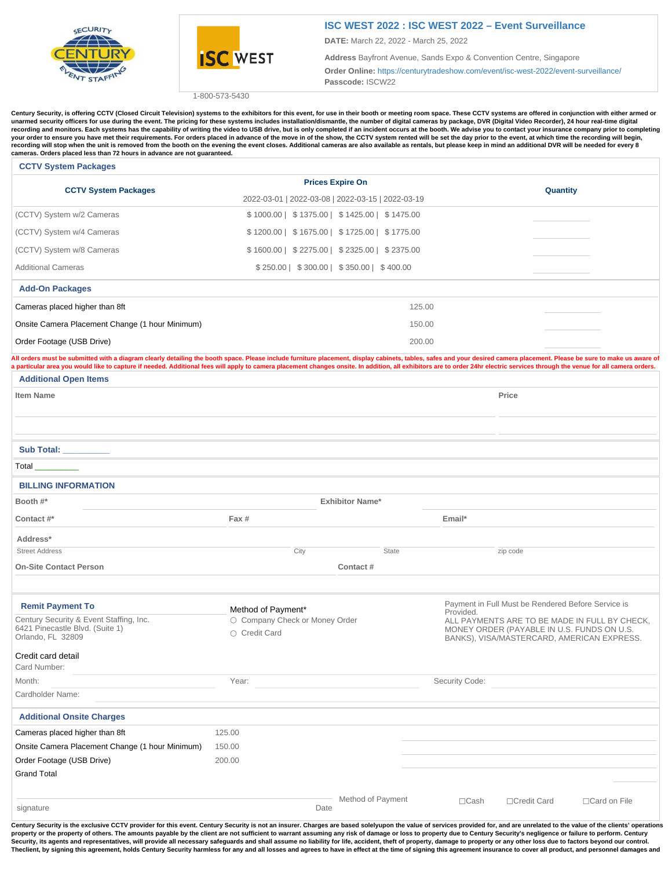



## **[ISC WEST 2022 : ISC WEST 2022 – Event Surveillance](https://centurytradeshow.com/event/isc-west-2022/)**

**DATE:** March 22, 2022 - March 25, 2022

**Address** Bayfront Avenue, Sands Expo & Convention Centre, Singapore

**Order Online:** <https://centurytradeshow.com/event/isc-west-2022/event-surveillance/> **Passcode:** ISCW22

1-800-573-5430

Century Security, is offering CCTV (Closed Circuit Television) systems to the exhibitors for this event, for use in their booth or meeting room space. These CCTV systems are offered in conjunction with either armed or **unarmed security officers for use during the event. The pricing for these systems includes installation/dismantle, the number of digital cameras by package, DVR (Digital Video Recorder), 24 hour real-time digital**  recording and monitors. Each systems has the capability of writing the video to USB drive, but is only completed if an incident occurs at the booth. We advise you to contact your insurance company prior to completing your order to ensure you have met their requirements. For orders placed in advance of the move in of the show, the CCTV system rented will be set the day prior to the event, at which time the recording will begin,<br>recordin **cameras. Orders placed less than 72 hours in advance are not guaranteed.**

## **CCTV System Packages**

| <b>CCTV System Packages</b>                     | <b>Prices Expire On</b>                           | Quantity |  |  |  |
|-------------------------------------------------|---------------------------------------------------|----------|--|--|--|
|                                                 | 2022-03-01   2022-03-08   2022-03-15   2022-03-19 |          |  |  |  |
| (CCTV) System w/2 Cameras                       | \$1000.00   \$1375.00   \$1425.00   \$1475.00     |          |  |  |  |
| (CCTV) System w/4 Cameras                       | \$1200.00   \$1675.00   \$1725.00   \$1775.00     |          |  |  |  |
| (CCTV) System w/8 Cameras                       | $$1600.00$   $$2275.00$   $$2325.00$   $$2375.00$ |          |  |  |  |
| <b>Additional Cameras</b>                       | $$250.00$   $$300.00$   $$350.00$   $$400.00$     |          |  |  |  |
| <b>Add-On Packages</b>                          |                                                   |          |  |  |  |
| Cameras placed higher than 8ft                  | 125.00                                            |          |  |  |  |
| Onsite Camera Placement Change (1 hour Minimum) | 150.00                                            |          |  |  |  |
| Order Footage (USB Drive)                       | 200.00                                            |          |  |  |  |

All orders must be submitted with a diagram clearly detailing the booth space. Please include furniture placement, display cabinets, tables, safes and your desired camera placement. Please be sure to make us aware of a particular area you would like to capture if needed. Additional fees will apply to camera placement changes onsite. In addition, all exhibitors are to order 24hr electric services through the venue for all camera orders. **Additional Open Items**

| <b>Item Name</b>                                                                                                                                                          |                                                      | Price                                                                                    |                                                                                                                  |              |                     |  |  |
|---------------------------------------------------------------------------------------------------------------------------------------------------------------------------|------------------------------------------------------|------------------------------------------------------------------------------------------|------------------------------------------------------------------------------------------------------------------|--------------|---------------------|--|--|
|                                                                                                                                                                           |                                                      |                                                                                          |                                                                                                                  |              |                     |  |  |
| Sub Total: _________                                                                                                                                                      |                                                      |                                                                                          |                                                                                                                  |              |                     |  |  |
| Total                                                                                                                                                                     |                                                      |                                                                                          |                                                                                                                  |              |                     |  |  |
| <b>BILLING INFORMATION</b>                                                                                                                                                |                                                      |                                                                                          |                                                                                                                  |              |                     |  |  |
| Booth #*                                                                                                                                                                  | <b>Exhibitor Name*</b>                               |                                                                                          |                                                                                                                  |              |                     |  |  |
| Contact #*                                                                                                                                                                | Fax #                                                |                                                                                          | Email*                                                                                                           |              |                     |  |  |
| Address*                                                                                                                                                                  |                                                      |                                                                                          |                                                                                                                  |              |                     |  |  |
| <b>Street Address</b>                                                                                                                                                     | City                                                 | State                                                                                    |                                                                                                                  | zip code     |                     |  |  |
| <b>On-Site Contact Person</b>                                                                                                                                             | Contact#                                             |                                                                                          |                                                                                                                  |              |                     |  |  |
| <b>Remit Payment To</b><br>Century Security & Event Staffing, Inc.                                                                                                        | Method of Payment*<br>O Company Check or Money Order |                                                                                          | Payment in Full Must be Rendered Before Service is<br>Provided.<br>ALL PAYMENTS ARE TO BE MADE IN FULL BY CHECK, |              |                     |  |  |
| 6421 Pinecastle Blvd. (Suite 1)<br>Orlando, FL 32809                                                                                                                      | ○ Credit Card                                        | MONEY ORDER (PAYABLE IN U.S. FUNDS ON U.S.<br>BANKS), VISA/MASTERCARD, AMERICAN EXPRESS. |                                                                                                                  |              |                     |  |  |
| Credit card detail                                                                                                                                                        |                                                      |                                                                                          |                                                                                                                  |              |                     |  |  |
| Card Number:                                                                                                                                                              |                                                      |                                                                                          |                                                                                                                  |              |                     |  |  |
| Month:                                                                                                                                                                    | Year:                                                |                                                                                          | Security Code:                                                                                                   |              |                     |  |  |
| Cardholder Name:                                                                                                                                                          |                                                      |                                                                                          |                                                                                                                  |              |                     |  |  |
| <b>Additional Onsite Charges</b>                                                                                                                                          |                                                      |                                                                                          |                                                                                                                  |              |                     |  |  |
| Cameras placed higher than 8ft                                                                                                                                            | 125.00                                               |                                                                                          |                                                                                                                  |              |                     |  |  |
| Onsite Camera Placement Change (1 hour Minimum)                                                                                                                           | 150.00                                               |                                                                                          |                                                                                                                  |              |                     |  |  |
| Order Footage (USB Drive)                                                                                                                                                 | 200.00                                               |                                                                                          |                                                                                                                  |              |                     |  |  |
| <b>Grand Total</b>                                                                                                                                                        |                                                      |                                                                                          |                                                                                                                  |              |                     |  |  |
| signature                                                                                                                                                                 | Date                                                 | Method of Payment                                                                        | $\Box$ Cash                                                                                                      | □Credit Card | $\Box$ Card on File |  |  |
| $\mathcal{L}$ and $\mathcal{L}$ are the contract of $\mathcal{L}$ and $\mathcal{L}$ are the contract of $\mathcal{L}$ and $\mathcal{L}$ are the contract of $\mathcal{L}$ |                                                      |                                                                                          | .                                                                                                                |              |                     |  |  |

Century Security is the exclusive CCTV provider for this event. Century Security is not an insurer. Charges are based solelyupon the value of services provided for, and are unrelated to the value of the clients' operations property or the property of others. The amounts payable by the client are not sufficient to warrant assuming any risk of damage or loss to property due to Century Security's negligence or failure to perform. Century<br>Securi The client, by signing this agreement, holds Century Security harmless for any and all losses and agrees to have in effect at the time of signing this agreement insurance to cover all product, and personnel damages and